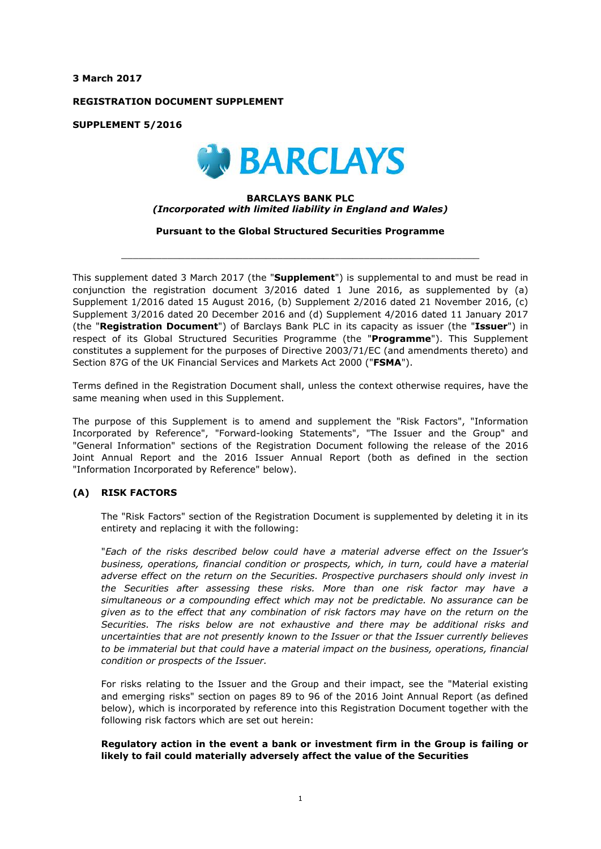**3 March 2017**

**REGISTRATION DOCUMENT SUPPLEMENT**

**SUPPLEMENT 5/2016**



#### **BARCLAYS BANK PLC** *(Incorporated with limited liability in England and Wales)*

**Pursuant to the Global Structured Securities Programme**

 $\_$  ,  $\_$  ,  $\_$  ,  $\_$  ,  $\_$  ,  $\_$  ,  $\_$  ,  $\_$  ,  $\_$  ,  $\_$  ,  $\_$  ,  $\_$  ,  $\_$  ,  $\_$  ,  $\_$  ,  $\_$  ,  $\_$  ,  $\_$  ,  $\_$  ,  $\_$  ,  $\_$  ,  $\_$  ,  $\_$  ,  $\_$  ,  $\_$  ,  $\_$  ,  $\_$  ,  $\_$  ,  $\_$  ,  $\_$  ,  $\_$  ,  $\_$  ,  $\_$  ,  $\_$  ,  $\_$  ,  $\_$  ,  $\_$  ,

This supplement dated 3 March 2017 (the "**Supplement**") is supplemental to and must be read in conjunction the registration document 3/2016 dated 1 June 2016, as supplemented by (a) Supplement 1/2016 dated 15 August 2016, (b) Supplement 2/2016 dated 21 November 2016, (c) Supplement 3/2016 dated 20 December 2016 and (d) Supplement 4/2016 dated 11 January 2017 (the "**Registration Document**") of Barclays Bank PLC in its capacity as issuer (the "**Issuer**") in respect of its Global Structured Securities Programme (the "**Programme**"). This Supplement constitutes a supplement for the purposes of Directive 2003/71/EC (and amendments thereto) and Section 87G of the UK Financial Services and Markets Act 2000 ("**FSMA**").

Terms defined in the Registration Document shall, unless the context otherwise requires, have the same meaning when used in this Supplement.

The purpose of this Supplement is to amend and supplement the "Risk Factors", "Information Incorporated by Reference", "Forward-looking Statements", "The Issuer and the Group" and "General Information" sections of the Registration Document following the release of the 2016 Joint Annual Report and the 2016 Issuer Annual Report (both as defined in the section "Information Incorporated by Reference" below).

## **(A) RISK FACTORS**

The "Risk Factors" section of the Registration Document is supplemented by deleting it in its entirety and replacing it with the following:

"*Each of the risks described below could have a material adverse effect on the Issuer's business, operations, financial condition or prospects, which, in turn, could have a material adverse effect on the return on the Securities. Prospective purchasers should only invest in the Securities after assessing these risks. More than one risk factor may have a simultaneous or a compounding effect which may not be predictable. No assurance can be given as to the effect that any combination of risk factors may have on the return on the Securities. The risks below are not exhaustive and there may be additional risks and uncertainties that are not presently known to the Issuer or that the Issuer currently believes to be immaterial but that could have a material impact on the business, operations, financial condition or prospects of the Issuer.*

For risks relating to the Issuer and the Group and their impact, see the "Material existing and emerging risks" section on pages 89 to 96 of the 2016 Joint Annual Report (as defined below), which is incorporated by reference into this Registration Document together with the following risk factors which are set out herein:

## **Regulatory action in the event a bank or investment firm in the Group is failing or likely to fail could materially adversely affect the value of the Securities**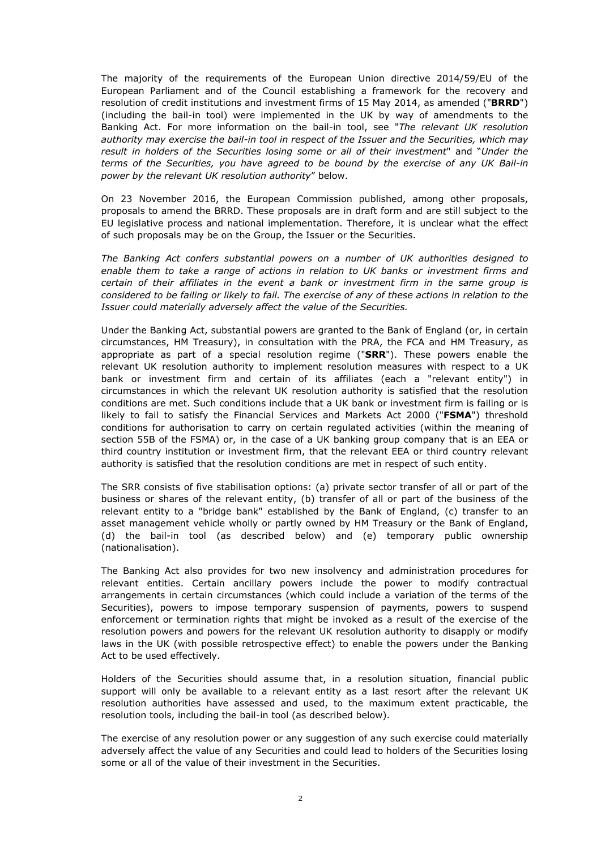The majority of the requirements of the European Union directive 2014/59/EU of the European Parliament and of the Council establishing a framework for the recovery and resolution of credit institutions and investment firms of 15 May 2014, as amended ("**BRRD**") (including the bail-in tool) were implemented in the UK by way of amendments to the Banking Act. For more information on the bail-in tool, see "*The relevant UK resolution authority may exercise the bail-in tool in respect of the Issuer and the Securities, which may result in holders of the Securities losing some or all of their investment*" and "*Under the terms of the Securities, you have agreed to be bound by the exercise of any UK Bail-in power by the relevant UK resolution authority*" below.

On 23 November 2016, the European Commission published, among other proposals, proposals to amend the BRRD. These proposals are in draft form and are still subject to the EU legislative process and national implementation. Therefore, it is unclear what the effect of such proposals may be on the Group, the Issuer or the Securities.

*The Banking Act confers substantial powers on a number of UK authorities designed to enable them to take a range of actions in relation to UK banks or investment firms and certain of their affiliates in the event a bank or investment firm in the same group is considered to be failing or likely to fail. The exercise of any of these actions in relation to the Issuer could materially adversely affect the value of the Securities.*

Under the Banking Act, substantial powers are granted to the Bank of England (or, in certain circumstances, HM Treasury), in consultation with the PRA, the FCA and HM Treasury, as appropriate as part of a special resolution regime ("**SRR**"). These powers enable the relevant UK resolution authority to implement resolution measures with respect to a UK bank or investment firm and certain of its affiliates (each a "relevant entity") in circumstances in which the relevant UK resolution authority is satisfied that the resolution conditions are met. Such conditions include that a UK bank or investment firm is failing or is likely to fail to satisfy the Financial Services and Markets Act 2000 ("**FSMA**") threshold conditions for authorisation to carry on certain regulated activities (within the meaning of section 55B of the FSMA) or, in the case of a UK banking group company that is an EEA or third country institution or investment firm, that the relevant EEA or third country relevant authority is satisfied that the resolution conditions are met in respect of such entity.

The SRR consists of five stabilisation options: (a) private sector transfer of all or part of the business or shares of the relevant entity, (b) transfer of all or part of the business of the relevant entity to a "bridge bank" established by the Bank of England, (c) transfer to an asset management vehicle wholly or partly owned by HM Treasury or the Bank of England, (d) the bail-in tool (as described below) and (e) temporary public ownership (nationalisation).

The Banking Act also provides for two new insolvency and administration procedures for relevant entities. Certain ancillary powers include the power to modify contractual arrangements in certain circumstances (which could include a variation of the terms of the Securities), powers to impose temporary suspension of payments, powers to suspend enforcement or termination rights that might be invoked as a result of the exercise of the resolution powers and powers for the relevant UK resolution authority to disapply or modify laws in the UK (with possible retrospective effect) to enable the powers under the Banking Act to be used effectively.

Holders of the Securities should assume that, in a resolution situation, financial public support will only be available to a relevant entity as a last resort after the relevant UK resolution authorities have assessed and used, to the maximum extent practicable, the resolution tools, including the bail-in tool (as described below).

The exercise of any resolution power or any suggestion of any such exercise could materially adversely affect the value of any Securities and could lead to holders of the Securities losing some or all of the value of their investment in the Securities.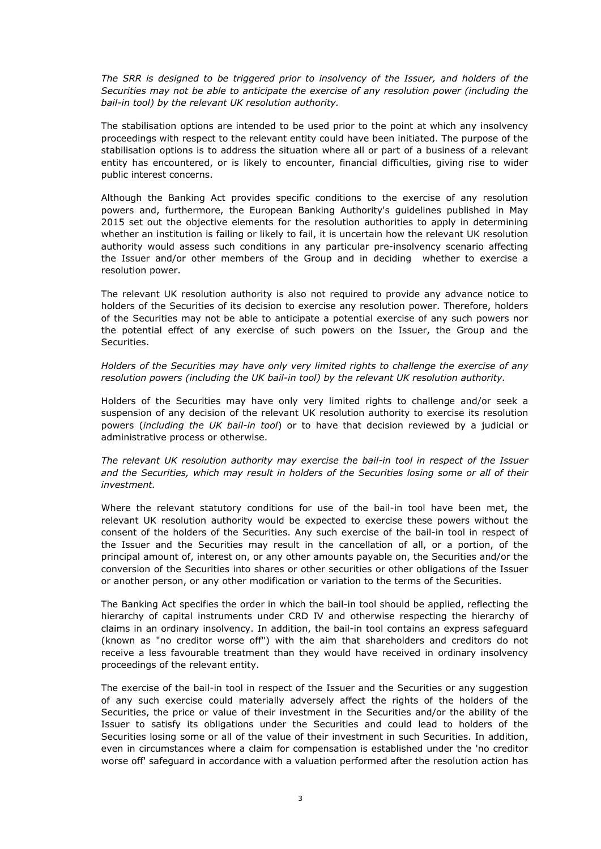*The SRR is designed to be triggered prior to insolvency of the Issuer, and holders of the Securities may not be able to anticipate the exercise of any resolution power (including the bail-in tool) by the relevant UK resolution authority.*

The stabilisation options are intended to be used prior to the point at which any insolvency proceedings with respect to the relevant entity could have been initiated. The purpose of the stabilisation options is to address the situation where all or part of a business of a relevant entity has encountered, or is likely to encounter, financial difficulties, giving rise to wider public interest concerns.

Although the Banking Act provides specific conditions to the exercise of any resolution powers and, furthermore, the European Banking Authority's guidelines published in May 2015 set out the objective elements for the resolution authorities to apply in determining whether an institution is failing or likely to fail, it is uncertain how the relevant UK resolution authority would assess such conditions in any particular pre-insolvency scenario affecting the Issuer and/or other members of the Group and in deciding whether to exercise a resolution power.

The relevant UK resolution authority is also not required to provide any advance notice to holders of the Securities of its decision to exercise any resolution power. Therefore, holders of the Securities may not be able to anticipate a potential exercise of any such powers nor the potential effect of any exercise of such powers on the Issuer, the Group and the Securities.

*Holders of the Securities may have only very limited rights to challenge the exercise of any resolution powers (including the UK bail-in tool) by the relevant UK resolution authority.*

Holders of the Securities may have only very limited rights to challenge and/or seek a suspension of any decision of the relevant UK resolution authority to exercise its resolution powers (*including the UK bail-in tool*) or to have that decision reviewed by a judicial or administrative process or otherwise.

*The relevant UK resolution authority may exercise the bail-in tool in respect of the Issuer and the Securities, which may result in holders of the Securities losing some or all of their investment.*

Where the relevant statutory conditions for use of the bail-in tool have been met, the relevant UK resolution authority would be expected to exercise these powers without the consent of the holders of the Securities. Any such exercise of the bail-in tool in respect of the Issuer and the Securities may result in the cancellation of all, or a portion, of the principal amount of, interest on, or any other amounts payable on, the Securities and/or the conversion of the Securities into shares or other securities or other obligations of the Issuer or another person, or any other modification or variation to the terms of the Securities.

The Banking Act specifies the order in which the bail-in tool should be applied, reflecting the hierarchy of capital instruments under CRD IV and otherwise respecting the hierarchy of claims in an ordinary insolvency. In addition, the bail-in tool contains an express safeguard (known as "no creditor worse off") with the aim that shareholders and creditors do not receive a less favourable treatment than they would have received in ordinary insolvency proceedings of the relevant entity.

The exercise of the bail-in tool in respect of the Issuer and the Securities or any suggestion of any such exercise could materially adversely affect the rights of the holders of the Securities, the price or value of their investment in the Securities and/or the ability of the Issuer to satisfy its obligations under the Securities and could lead to holders of the Securities losing some or all of the value of their investment in such Securities. In addition, even in circumstances where a claim for compensation is established under the 'no creditor worse off' safeguard in accordance with a valuation performed after the resolution action has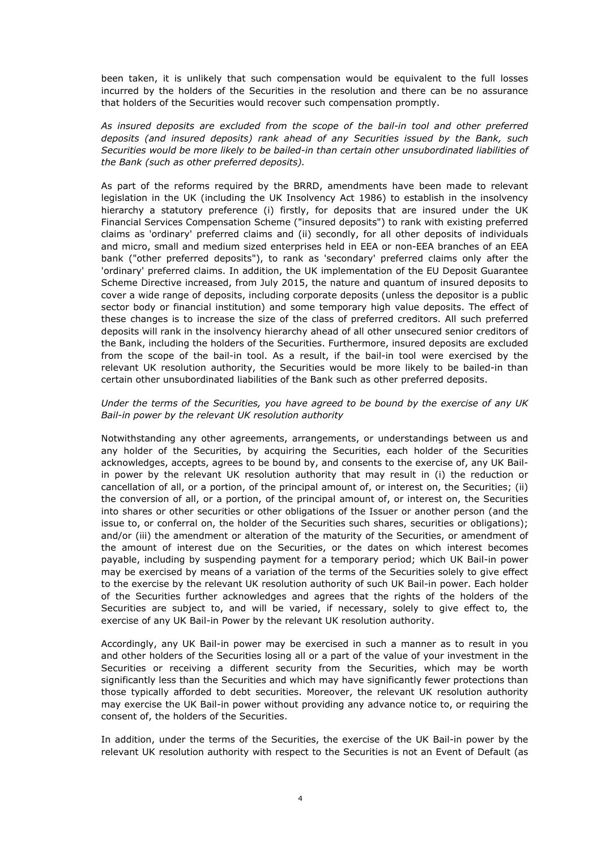been taken, it is unlikely that such compensation would be equivalent to the full losses incurred by the holders of the Securities in the resolution and there can be no assurance that holders of the Securities would recover such compensation promptly.

*As insured deposits are excluded from the scope of the bail-in tool and other preferred deposits (and insured deposits) rank ahead of any Securities issued by the Bank, such Securities would be more likely to be bailed-in than certain other unsubordinated liabilities of the Bank (such as other preferred deposits).*

As part of the reforms required by the BRRD, amendments have been made to relevant legislation in the UK (including the UK Insolvency Act 1986) to establish in the insolvency hierarchy a statutory preference (i) firstly, for deposits that are insured under the UK Financial Services Compensation Scheme ("insured deposits") to rank with existing preferred claims as 'ordinary' preferred claims and (ii) secondly, for all other deposits of individuals and micro, small and medium sized enterprises held in EEA or non-EEA branches of an EEA bank ("other preferred deposits"), to rank as 'secondary' preferred claims only after the 'ordinary' preferred claims. In addition, the UK implementation of the EU Deposit Guarantee Scheme Directive increased, from July 2015, the nature and quantum of insured deposits to cover a wide range of deposits, including corporate deposits (unless the depositor is a public sector body or financial institution) and some temporary high value deposits. The effect of these changes is to increase the size of the class of preferred creditors. All such preferred deposits will rank in the insolvency hierarchy ahead of all other unsecured senior creditors of the Bank, including the holders of the Securities. Furthermore, insured deposits are excluded from the scope of the bail-in tool. As a result, if the bail-in tool were exercised by the relevant UK resolution authority, the Securities would be more likely to be bailed-in than certain other unsubordinated liabilities of the Bank such as other preferred deposits.

#### *Under the terms of the Securities, you have agreed to be bound by the exercise of any UK Bail-in power by the relevant UK resolution authority*

Notwithstanding any other agreements, arrangements, or understandings between us and any holder of the Securities, by acquiring the Securities, each holder of the Securities acknowledges, accepts, agrees to be bound by, and consents to the exercise of, any UK Bailin power by the relevant UK resolution authority that may result in (i) the reduction or cancellation of all, or a portion, of the principal amount of, or interest on, the Securities; (ii) the conversion of all, or a portion, of the principal amount of, or interest on, the Securities into shares or other securities or other obligations of the Issuer or another person (and the issue to, or conferral on, the holder of the Securities such shares, securities or obligations); and/or (iii) the amendment or alteration of the maturity of the Securities, or amendment of the amount of interest due on the Securities, or the dates on which interest becomes payable, including by suspending payment for a temporary period; which UK Bail-in power may be exercised by means of a variation of the terms of the Securities solely to give effect to the exercise by the relevant UK resolution authority of such UK Bail-in power. Each holder of the Securities further acknowledges and agrees that the rights of the holders of the Securities are subject to, and will be varied, if necessary, solely to give effect to, the exercise of any UK Bail-in Power by the relevant UK resolution authority.

Accordingly, any UK Bail-in power may be exercised in such a manner as to result in you and other holders of the Securities losing all or a part of the value of your investment in the Securities or receiving a different security from the Securities, which may be worth significantly less than the Securities and which may have significantly fewer protections than those typically afforded to debt securities. Moreover, the relevant UK resolution authority may exercise the UK Bail-in power without providing any advance notice to, or requiring the consent of, the holders of the Securities.

In addition, under the terms of the Securities, the exercise of the UK Bail-in power by the relevant UK resolution authority with respect to the Securities is not an Event of Default (as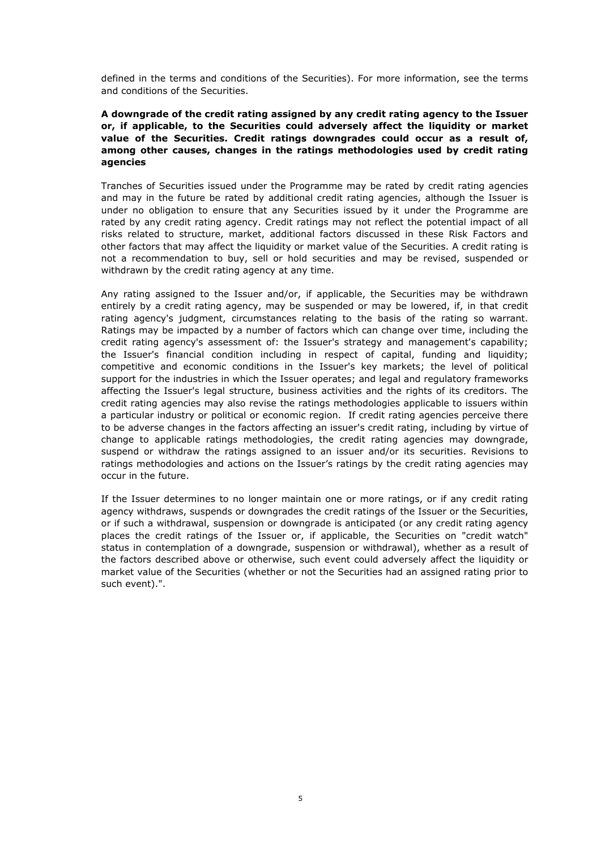defined in the terms and conditions of the Securities). For more information, see the terms and conditions of the Securities.

## **A downgrade of the credit rating assigned by any credit rating agency to the Issuer or, if applicable, to the Securities could adversely affect the liquidity or market value of the Securities. Credit ratings downgrades could occur as a result of, among other causes, changes in the ratings methodologies used by credit rating agencies**

Tranches of Securities issued under the Programme may be rated by credit rating agencies and may in the future be rated by additional credit rating agencies, although the Issuer is under no obligation to ensure that any Securities issued by it under the Programme are rated by any credit rating agency. Credit ratings may not reflect the potential impact of all risks related to structure, market, additional factors discussed in these Risk Factors and other factors that may affect the liquidity or market value of the Securities. A credit rating is not a recommendation to buy, sell or hold securities and may be revised, suspended or withdrawn by the credit rating agency at any time.

Any rating assigned to the Issuer and/or, if applicable, the Securities may be withdrawn entirely by a credit rating agency, may be suspended or may be lowered, if, in that credit rating agency's judgment, circumstances relating to the basis of the rating so warrant. Ratings may be impacted by a number of factors which can change over time, including the credit rating agency's assessment of: the Issuer's strategy and management's capability; the Issuer's financial condition including in respect of capital, funding and liquidity; competitive and economic conditions in the Issuer's key markets; the level of political support for the industries in which the Issuer operates; and legal and regulatory frameworks affecting the Issuer's legal structure, business activities and the rights of its creditors. The credit rating agencies may also revise the ratings methodologies applicable to issuers within a particular industry or political or economic region. If credit rating agencies perceive there to be adverse changes in the factors affecting an issuer's credit rating, including by virtue of change to applicable ratings methodologies, the credit rating agencies may downgrade, suspend or withdraw the ratings assigned to an issuer and/or its securities. Revisions to ratings methodologies and actions on the Issuer's ratings by the credit rating agencies may occur in the future.

If the Issuer determines to no longer maintain one or more ratings, or if any credit rating agency withdraws, suspends or downgrades the credit ratings of the Issuer or the Securities, or if such a withdrawal, suspension or downgrade is anticipated (or any credit rating agency places the credit ratings of the Issuer or, if applicable, the Securities on "credit watch" status in contemplation of a downgrade, suspension or withdrawal), whether as a result of the factors described above or otherwise, such event could adversely affect the liquidity or market value of the Securities (whether or not the Securities had an assigned rating prior to such event).".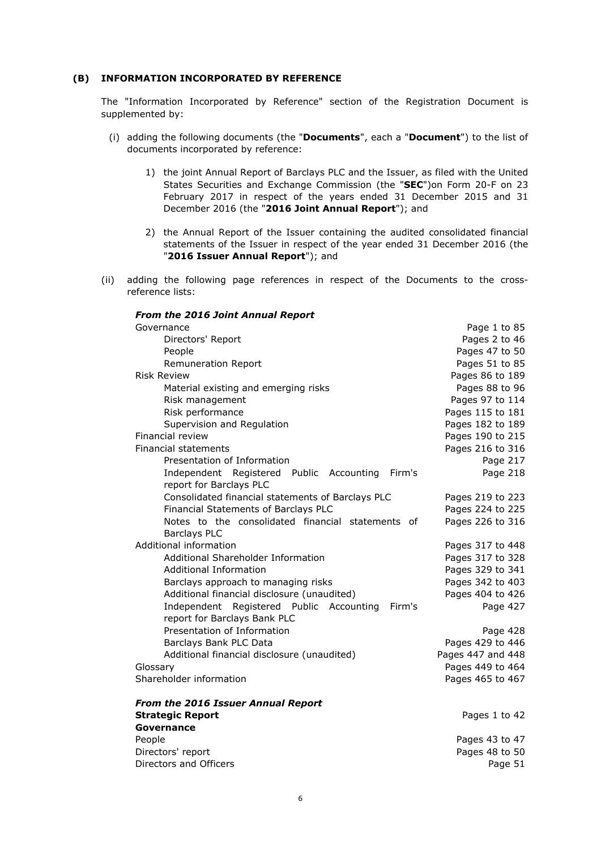# **(B) INFORMATION INCORPORATED BY REFERENCE**

The "Information Incorporated by Reference" section of the Registration Document is supplemented by:

- (i) adding the following documents (the "**Documents**", each a "**Document**") to the list of documents incorporated by reference:
	- 1) the joint Annual Report of Barclays PLC and the Issuer, as filed with the United States Securities and Exchange Commission (the "**SEC**")on Form 20-F on 23 February 2017 in respect of the years ended 31 December 2015 and 31 December 2016 (the "**2016 Joint Annual Report**"); and
	- 2) the Annual Report of the Issuer containing the audited consolidated financial statements of the Issuer in respect of the year ended 31 December 2016 (the "**2016 Issuer Annual Report**"); and
- (ii) adding the following page references in respect of the Documents to the crossreference lists:

| <b>From the 2016 Joint Annual Report</b>                                           |                   |
|------------------------------------------------------------------------------------|-------------------|
| Governance                                                                         | Page 1 to 85      |
| Directors' Report                                                                  | Pages 2 to 46     |
| People                                                                             | Pages 47 to 50    |
| Remuneration Report                                                                | Pages 51 to 85    |
| <b>Risk Review</b>                                                                 | Pages 86 to 189   |
| Material existing and emerging risks                                               | Pages 88 to 96    |
| Risk management                                                                    | Pages 97 to 114   |
| Risk performance                                                                   | Pages 115 to 181  |
| Supervision and Regulation                                                         | Pages 182 to 189  |
| Financial review                                                                   | Pages 190 to 215  |
| <b>Financial statements</b>                                                        | Pages 216 to 316  |
| Presentation of Information                                                        | Page 217          |
| Firm's<br>Independent Registered Public Accounting<br>report for Barclays PLC      | Page 218          |
| Consolidated financial statements of Barclays PLC                                  | Pages 219 to 223  |
| Financial Statements of Barclays PLC                                               | Pages 224 to 225  |
| Notes to the consolidated financial statements of                                  | Pages 226 to 316  |
| <b>Barclays PLC</b>                                                                |                   |
| Additional information                                                             | Pages 317 to 448  |
| Additional Shareholder Information                                                 | Pages 317 to 328  |
| <b>Additional Information</b>                                                      | Pages 329 to 341  |
| Barclays approach to managing risks                                                | Pages 342 to 403  |
| Additional financial disclosure (unaudited)                                        | Pages 404 to 426  |
| Independent Registered Public Accounting<br>Firm's<br>report for Barclays Bank PLC | Page 427          |
| Presentation of Information                                                        | Page 428          |
| Barclays Bank PLC Data                                                             | Pages 429 to 446  |
| Additional financial disclosure (unaudited)                                        | Pages 447 and 448 |
| Glossary                                                                           | Pages 449 to 464  |
| Shareholder information                                                            | Pages 465 to 467  |
| <b>From the 2016 Issuer Annual Report</b>                                          |                   |
| <b>Strategic Report</b>                                                            | Pages 1 to 42     |
| Governance                                                                         |                   |
| People                                                                             | Pages 43 to 47    |
| Directors' report                                                                  | Pages 48 to 50    |
| Directors and Officers                                                             | Page 51           |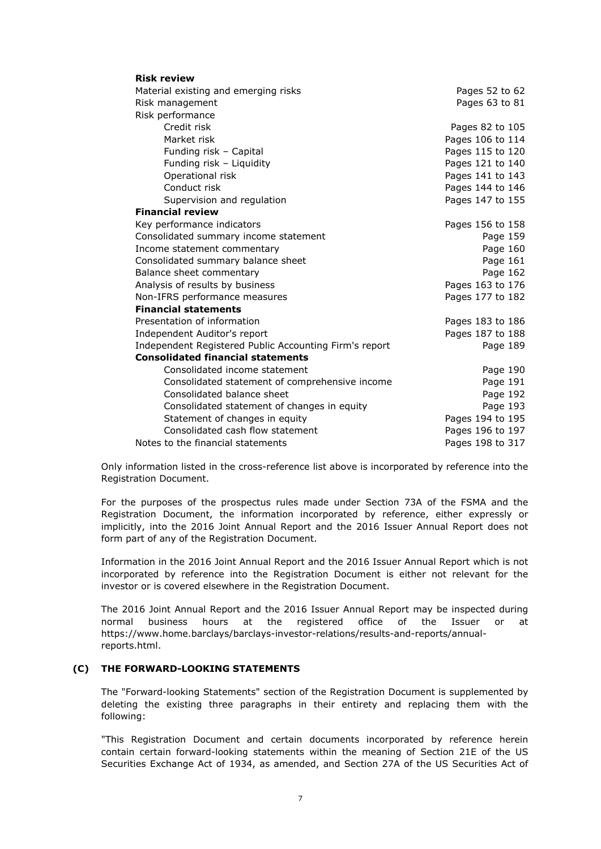| <b>Risk review</b>                                     |                  |
|--------------------------------------------------------|------------------|
| Material existing and emerging risks                   | Pages 52 to 62   |
| Risk management                                        | Pages 63 to 81   |
| Risk performance                                       |                  |
| Credit risk                                            | Pages 82 to 105  |
| Market risk                                            | Pages 106 to 114 |
| Funding risk - Capital                                 | Pages 115 to 120 |
| Funding risk - Liquidity                               | Pages 121 to 140 |
| Operational risk                                       | Pages 141 to 143 |
| Conduct risk                                           | Pages 144 to 146 |
| Supervision and regulation                             | Pages 147 to 155 |
| <b>Financial review</b>                                |                  |
| Key performance indicators                             | Pages 156 to 158 |
| Consolidated summary income statement                  | Page 159         |
| Income statement commentary                            | Page 160         |
| Consolidated summary balance sheet                     | Page 161         |
| Balance sheet commentary                               | Page 162         |
| Analysis of results by business                        | Pages 163 to 176 |
| Non-IFRS performance measures                          | Pages 177 to 182 |
| <b>Financial statements</b>                            |                  |
| Presentation of information                            | Pages 183 to 186 |
| Independent Auditor's report                           | Pages 187 to 188 |
| Independent Registered Public Accounting Firm's report | Page 189         |
| <b>Consolidated financial statements</b>               |                  |
| Consolidated income statement                          | Page 190         |
| Consolidated statement of comprehensive income         | Page 191         |
| Consolidated balance sheet                             | Page 192         |
| Consolidated statement of changes in equity            | Page 193         |
| Statement of changes in equity                         | Pages 194 to 195 |
| Consolidated cash flow statement                       | Pages 196 to 197 |
| Notes to the financial statements                      | Pages 198 to 317 |

Only information listed in the cross-reference list above is incorporated by reference into the Registration Document.

For the purposes of the prospectus rules made under Section 73A of the FSMA and the Registration Document, the information incorporated by reference, either expressly or implicitly, into the 2016 Joint Annual Report and the 2016 Issuer Annual Report does not form part of any of the Registration Document.

Information in the 2016 Joint Annual Report and the 2016 Issuer Annual Report which is not incorporated by reference into the Registration Document is either not relevant for the investor or is covered elsewhere in the Registration Document.

The 2016 Joint Annual Report and the 2016 Issuer Annual Report may be inspected during normal business hours at the registered office of the Issuer or at https://www.home.barclays/barclays-investor-relations/results-and-reports/annualreports.html.

# **(C) THE FORWARD-LOOKING STATEMENTS**

The "Forward-looking Statements" section of the Registration Document is supplemented by deleting the existing three paragraphs in their entirety and replacing them with the following:

"This Registration Document and certain documents incorporated by reference herein contain certain forward-looking statements within the meaning of Section 21E of the US Securities Exchange Act of 1934, as amended, and Section 27A of the US Securities Act of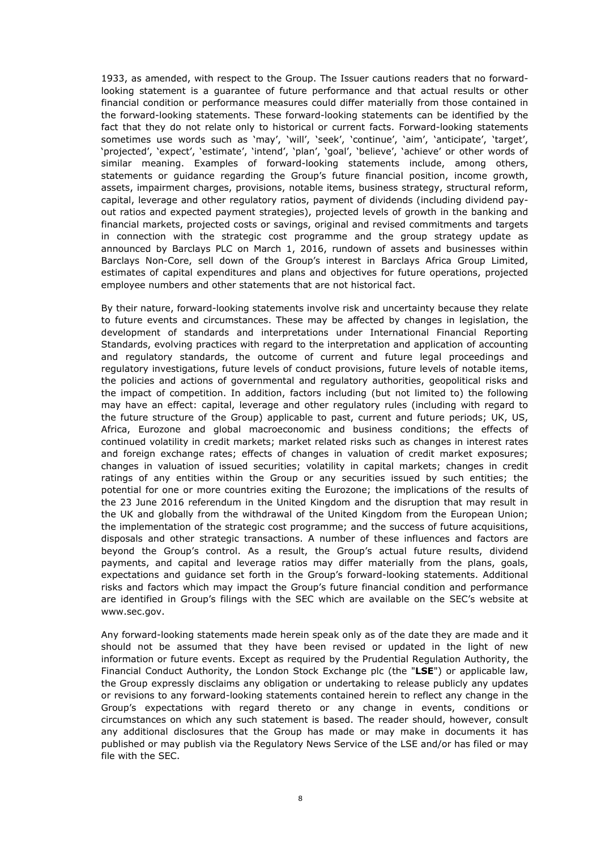1933, as amended, with respect to the Group. The Issuer cautions readers that no forwardlooking statement is a guarantee of future performance and that actual results or other financial condition or performance measures could differ materially from those contained in the forward-looking statements. These forward-looking statements can be identified by the fact that they do not relate only to historical or current facts. Forward-looking statements sometimes use words such as 'may', 'will', 'seek', 'continue', 'aim', 'anticipate', 'target', 'projected', 'expect', 'estimate', 'intend', 'plan', 'goal', 'believe', 'achieve' or other words of similar meaning. Examples of forward-looking statements include, among others, statements or guidance regarding the Group's future financial position, income growth, assets, impairment charges, provisions, notable items, business strategy, structural reform, capital, leverage and other regulatory ratios, payment of dividends (including dividend payout ratios and expected payment strategies), projected levels of growth in the banking and financial markets, projected costs or savings, original and revised commitments and targets in connection with the strategic cost programme and the group strategy update as announced by Barclays PLC on March 1, 2016, rundown of assets and businesses within Barclays Non-Core, sell down of the Group's interest in Barclays Africa Group Limited, estimates of capital expenditures and plans and objectives for future operations, projected employee numbers and other statements that are not historical fact.

By their nature, forward-looking statements involve risk and uncertainty because they relate to future events and circumstances. These may be affected by changes in legislation, the development of standards and interpretations under International Financial Reporting Standards, evolving practices with regard to the interpretation and application of accounting and regulatory standards, the outcome of current and future legal proceedings and regulatory investigations, future levels of conduct provisions, future levels of notable items, the policies and actions of governmental and regulatory authorities, geopolitical risks and the impact of competition. In addition, factors including (but not limited to) the following may have an effect: capital, leverage and other regulatory rules (including with regard to the future structure of the Group) applicable to past, current and future periods; UK, US, Africa, Eurozone and global macroeconomic and business conditions; the effects of continued volatility in credit markets; market related risks such as changes in interest rates and foreign exchange rates; effects of changes in valuation of credit market exposures; changes in valuation of issued securities; volatility in capital markets; changes in credit ratings of any entities within the Group or any securities issued by such entities; the potential for one or more countries exiting the Eurozone; the implications of the results of the 23 June 2016 referendum in the United Kingdom and the disruption that may result in the UK and globally from the withdrawal of the United Kingdom from the European Union; the implementation of the strategic cost programme; and the success of future acquisitions, disposals and other strategic transactions. A number of these influences and factors are beyond the Group's control. As a result, the Group's actual future results, dividend payments, and capital and leverage ratios may differ materially from the plans, goals, expectations and guidance set forth in the Group's forward-looking statements. Additional risks and factors which may impact the Group's future financial condition and performance are identified in Group's filings with the SEC which are available on the SEC's website at www.sec.gov.

Any forward-looking statements made herein speak only as of the date they are made and it should not be assumed that they have been revised or updated in the light of new information or future events. Except as required by the Prudential Regulation Authority, the Financial Conduct Authority, the London Stock Exchange plc (the "**LSE**") or applicable law, the Group expressly disclaims any obligation or undertaking to release publicly any updates or revisions to any forward-looking statements contained herein to reflect any change in the Group's expectations with regard thereto or any change in events, conditions or circumstances on which any such statement is based. The reader should, however, consult any additional disclosures that the Group has made or may make in documents it has published or may publish via the Regulatory News Service of the LSE and/or has filed or may file with the SEC.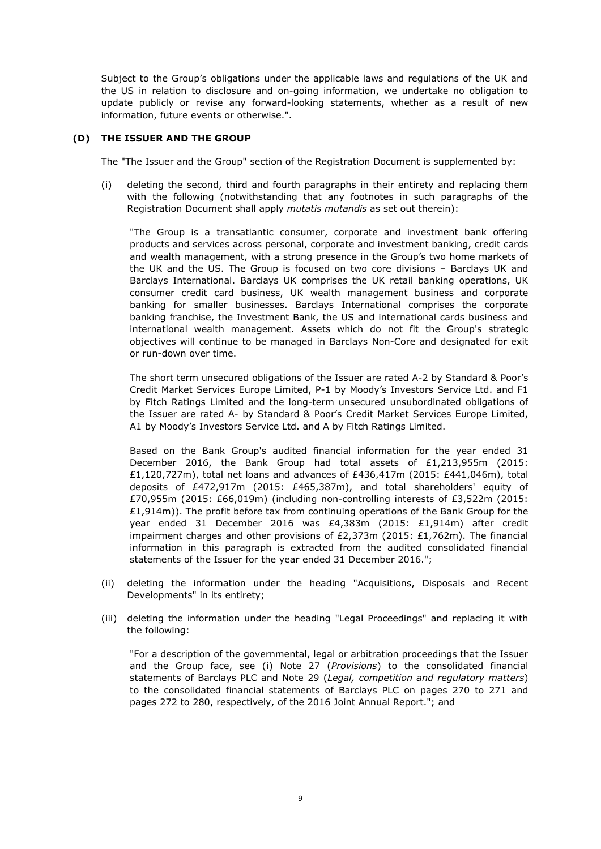Subject to the Group's obligations under the applicable laws and regulations of the UK and the US in relation to disclosure and on-going information, we undertake no obligation to update publicly or revise any forward-looking statements, whether as a result of new information, future events or otherwise.".

## **(D) THE ISSUER AND THE GROUP**

The "The Issuer and the Group" section of the Registration Document is supplemented by:

(i) deleting the second, third and fourth paragraphs in their entirety and replacing them with the following (notwithstanding that any footnotes in such paragraphs of the Registration Document shall apply *mutatis mutandis* as set out therein):

"The Group is a transatlantic consumer, corporate and investment bank offering products and services across personal, corporate and investment banking, credit cards and wealth management, with a strong presence in the Group's two home markets of the UK and the US. The Group is focused on two core divisions – Barclays UK and Barclays International. Barclays UK comprises the UK retail banking operations, UK consumer credit card business, UK wealth management business and corporate banking for smaller businesses. Barclays International comprises the corporate banking franchise, the Investment Bank, the US and international cards business and international wealth management. Assets which do not fit the Group's strategic objectives will continue to be managed in Barclays Non-Core and designated for exit or run-down over time.

The short term unsecured obligations of the Issuer are rated A-2 by Standard & Poor's Credit Market Services Europe Limited, P-1 by Moody's Investors Service Ltd. and F1 by Fitch Ratings Limited and the long-term unsecured unsubordinated obligations of the Issuer are rated A- by Standard & Poor's Credit Market Services Europe Limited, A1 by Moody's Investors Service Ltd. and A by Fitch Ratings Limited.

Based on the Bank Group's audited financial information for the year ended 31 December 2016, the Bank Group had total assets of £1,213,955m (2015: £1,120,727m), total net loans and advances of £436,417m (2015: £441,046m), total deposits of £472,917m (2015: £465,387m), and total shareholders' equity of £70,955m (2015: £66,019m) (including non-controlling interests of £3,522m (2015: £1,914m)). The profit before tax from continuing operations of the Bank Group for the year ended 31 December 2016 was £4,383m (2015: £1,914m) after credit impairment charges and other provisions of £2,373m (2015: £1,762m). The financial information in this paragraph is extracted from the audited consolidated financial statements of the Issuer for the year ended 31 December 2016.";

- (ii) deleting the information under the heading "Acquisitions, Disposals and Recent Developments" in its entirety;
- (iii) deleting the information under the heading "Legal Proceedings" and replacing it with the following:

"For a description of the governmental, legal or arbitration proceedings that the Issuer and the Group face, see (i) Note 27 (*Provisions*) to the consolidated financial statements of Barclays PLC and Note 29 (*Legal, competition and regulatory matters*) to the consolidated financial statements of Barclays PLC on pages 270 to 271 and pages 272 to 280, respectively, of the 2016 Joint Annual Report."; and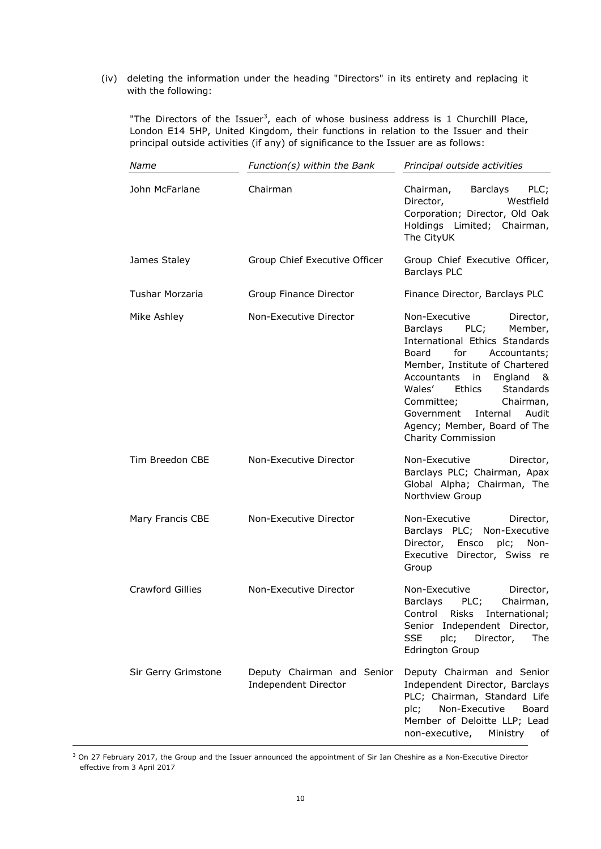(iv) deleting the information under the heading "Directors" in its entirety and replacing it with the following:

"The Directors of the Issuer<sup>3</sup>, each of whose business address is 1 Churchill Place, London E14 5HP, United Kingdom, their functions in relation to the Issuer and their principal outside activities (if any) of significance to the Issuer are as follows:

| Name                    | Function(s) within the Bank                        | Principal outside activities                                                                                                                                                                                                                                                                                                                           |
|-------------------------|----------------------------------------------------|--------------------------------------------------------------------------------------------------------------------------------------------------------------------------------------------------------------------------------------------------------------------------------------------------------------------------------------------------------|
| John McFarlane          | Chairman                                           | Chairman, Barclays PLC;<br>Westfield<br>Director,<br>Corporation; Director, Old Oak<br>Holdings Limited; Chairman,<br>The CityUK                                                                                                                                                                                                                       |
| James Staley            | Group Chief Executive Officer                      | Group Chief Executive Officer,<br><b>Barclays PLC</b>                                                                                                                                                                                                                                                                                                  |
| Tushar Morzaria         | Group Finance Director                             | Finance Director, Barclays PLC                                                                                                                                                                                                                                                                                                                         |
| Mike Ashley             | Non-Executive Director                             | Non-Executive<br>Director,<br>Barclays PLC;<br>Member,<br>International Ethics Standards<br>for<br>Board<br>Accountants;<br>Member, Institute of Chartered<br>Accountants<br>in<br>England<br>84.<br>Wales'<br>Ethics<br>Standards<br>Chairman,<br>Committee;<br>Internal<br>Audit<br>Government<br>Agency; Member, Board of The<br>Charity Commission |
| Tim Breedon CBE         | Non-Executive Director                             | Non-Executive<br>Director,<br>Barclays PLC; Chairman, Apax<br>Global Alpha; Chairman, The<br>Northview Group                                                                                                                                                                                                                                           |
| Mary Francis CBE        | Non-Executive Director                             | Non-Executive<br>Director,<br>Barclays PLC; Non-Executive<br>Director, Ensco<br>plc; Non-<br>Executive Director, Swiss re<br>Group                                                                                                                                                                                                                     |
| <b>Crawford Gillies</b> | Non-Executive Director                             | Non-Executive<br>Director,<br>Barclays<br>PLC;<br>Chairman,<br>Control<br>Risks<br>International;<br>Senior<br>Independent Director,<br><b>SSE</b><br>plc;<br>Director,<br>The<br><b>Edrington Group</b>                                                                                                                                               |
| Sir Gerry Grimstone     | Deputy Chairman and Senior<br>Independent Director | Deputy Chairman and Senior<br>Independent Director, Barclays<br>PLC; Chairman, Standard Life<br>Non-Executive<br>plc;<br>Board<br>Member of Deloitte LLP; Lead<br>non-executive,<br>Ministry<br>οf                                                                                                                                                     |

<sup>3</sup> On 27 February 2017, the Group and the Issuer announced the appointment of Sir Ian Cheshire as a Non-Executive Director effective from 3 April 2017

-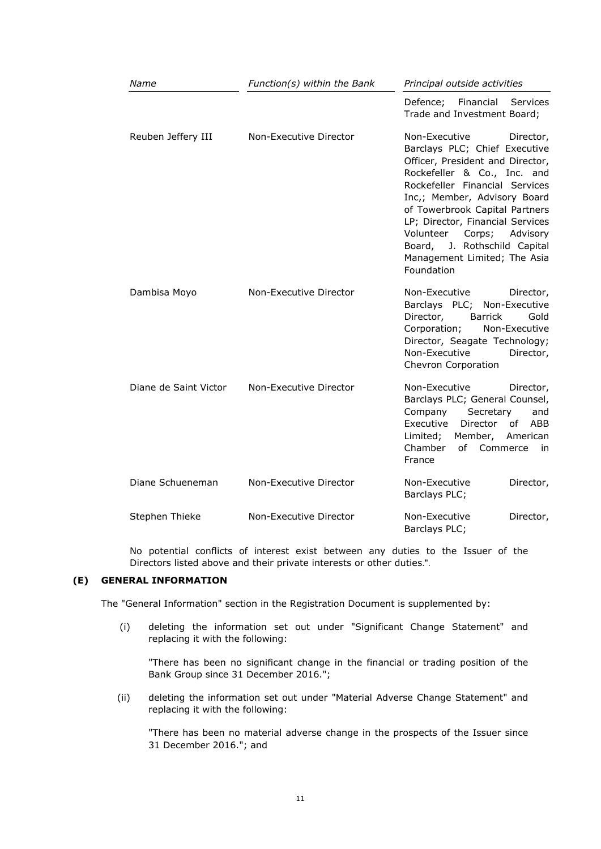| Name                  | Function(s) within the Bank | Principal outside activities                                                                                                                                                                                                                                                                                                                                                            |
|-----------------------|-----------------------------|-----------------------------------------------------------------------------------------------------------------------------------------------------------------------------------------------------------------------------------------------------------------------------------------------------------------------------------------------------------------------------------------|
|                       |                             | Financial<br>Defence;<br>Services<br>Trade and Investment Board;                                                                                                                                                                                                                                                                                                                        |
| Reuben Jeffery III    | Non-Executive Director      | Non-Executive<br>Director,<br>Barclays PLC; Chief Executive<br>Officer, President and Director,<br>Rockefeller & Co., Inc. and<br>Rockefeller Financial Services<br>Inc,; Member, Advisory Board<br>of Towerbrook Capital Partners<br>LP; Director, Financial Services<br>Volunteer<br>Corps;<br>Advisory<br>Board, J. Rothschild Capital<br>Management Limited; The Asia<br>Foundation |
| Dambisa Moyo          | Non-Executive Director      | Non-Executive<br>Director,<br>Barclays PLC; Non-Executive<br>Director,<br><b>Barrick</b><br>Gold<br>Corporation;<br>Non-Executive<br>Director, Seagate Technology;<br>Non-Executive<br>Director,<br>Chevron Corporation                                                                                                                                                                 |
| Diane de Saint Victor | Non-Executive Director      | Non-Executive<br>Director,<br>Barclays PLC; General Counsel,<br>Company<br>Secretary<br>and<br>Executive<br>Director<br>of<br>ABB<br>Limited;<br>Member,<br>American<br>Chamber<br>of Commerce<br>in<br>France                                                                                                                                                                          |
| Diane Schueneman      | Non-Executive Director      | Non-Executive<br>Director,<br>Barclays PLC;                                                                                                                                                                                                                                                                                                                                             |
| Stephen Thieke        | Non-Executive Director      | Non-Executive<br>Director,<br>Barclays PLC;                                                                                                                                                                                                                                                                                                                                             |

No potential conflicts of interest exist between any duties to the Issuer of the Directors listed above and their private interests or other duties.".

# **(E) GENERAL INFORMATION**

The "General Information" section in the Registration Document is supplemented by:

(i) deleting the information set out under "Significant Change Statement" and replacing it with the following:

"There has been no significant change in the financial or trading position of the Bank Group since 31 December 2016.";

(ii) deleting the information set out under "Material Adverse Change Statement" and replacing it with the following:

"There has been no material adverse change in the prospects of the Issuer since 31 December 2016."; and